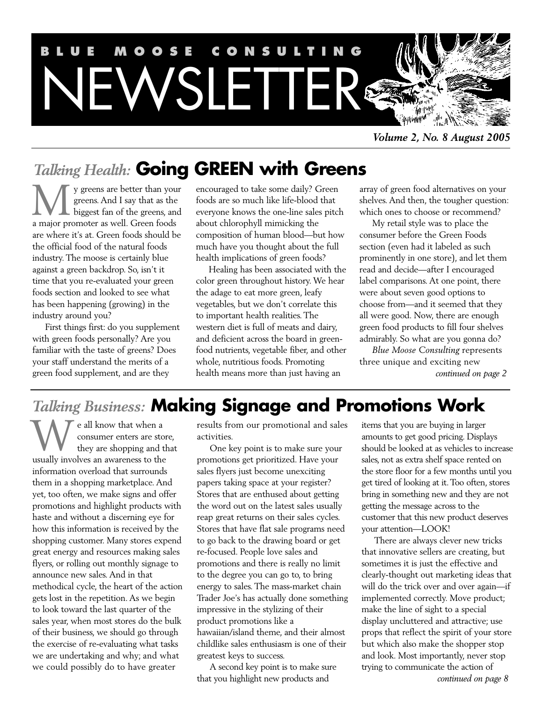

*Volume 2, No. 8 August 2005*

# *Talking Health:* **Going GREEN with Greens**

y greens are better than your greens. And I say that as the **L** biggest fan of the greens, and We y greens are better than you<br>greens. And I say that as the<br>biggest fan of the greens, an<br>a major promoter as well. Green foods are where it's at. Green foods should be the official food of the natural foods industry. The moose is certainly blue against a green backdrop. So, isn't it time that you re-evaluated your green foods section and looked to see what has been happening (growing) in the industry around you?

First things first: do you supplement with green foods personally? Are you familiar with the taste of greens? Does your staff understand the merits of a green food supplement, and are they

encouraged to take some daily? Green foods are so much like life-blood that everyone knows the one-line sales pitch about chlorophyll mimicking the composition of human blood—but how much have you thought about the full health implications of green foods?

Healing has been associated with the color green throughout history. We hear the adage to eat more green, leafy vegetables, but we don't correlate this to important health realities. The western diet is full of meats and dairy, and deficient across the board in greenfood nutrients, vegetable fiber, and other whole, nutritious foods. Promoting health means more than just having an

array of green food alternatives on your shelves. And then, the tougher question: which ones to choose or recommend?

My retail style was to place the consumer before the Green Foods section (even had it labeled as such prominently in one store), and let them read and decide—after I encouraged label comparisons. At one point, there were about seven good options to choose from—and it seemed that they all were good. Now, there are enough green food products to fill four shelves admirably. So what are you gonna do?

*Blue Moose Consulting* represents three unique and exciting new *continued on page 2*

# *Talking Business:* **Making Signage and Promotions Work**

e all know that when a consumer enters are store, they are shopping and that We all know that when a consumer enters are stosus<br>they are shopping and the usually involves an awareness to the information overload that surrounds them in a shopping marketplace. And yet, too often, we make signs and offer promotions and highlight products with haste and without a discerning eye for how this information is received by the shopping customer. Many stores expend great energy and resources making sales flyers, or rolling out monthly signage to announce new sales. And in that methodical cycle, the heart of the action gets lost in the repetition. As we begin to look toward the last quarter of the sales year, when most stores do the bulk of their business, we should go through the exercise of re-evaluating what tasks we are undertaking and why; and what we could possibly do to have greater

results from our promotional and sales activities.

One key point is to make sure your promotions get prioritized. Have your sales flyers just become unexciting papers taking space at your register? Stores that are enthused about getting the word out on the latest sales usually reap great returns on their sales cycles. Stores that have flat sale programs need to go back to the drawing board or get re-focused. People love sales and promotions and there is really no limit to the degree you can go to, to bring energy to sales. The mass-market chain Trader Joe's has actually done something impressive in the stylizing of their product promotions like a hawaiian/island theme, and their almost childlike sales enthusiasm is one of their greatest keys to success.

A second key point is to make sure that you highlight new products and

items that you are buying in larger amounts to get good pricing. Displays should be looked at as vehicles to increase sales, not as extra shelf space rented on the store floor for a few months until you get tired of looking at it. Too often, stores bring in something new and they are not getting the message across to the customer that this new product deserves your attention—LOOK!

There are always clever new tricks that innovative sellers are creating, but sometimes it is just the effective and clearly-thought out marketing ideas that will do the trick over and over again—if implemented correctly. Move product; make the line of sight to a special display uncluttered and attractive; use props that reflect the spirit of your store but which also make the shopper stop and look. Most importantly, never stop trying to communicate the action of *continued on page 8*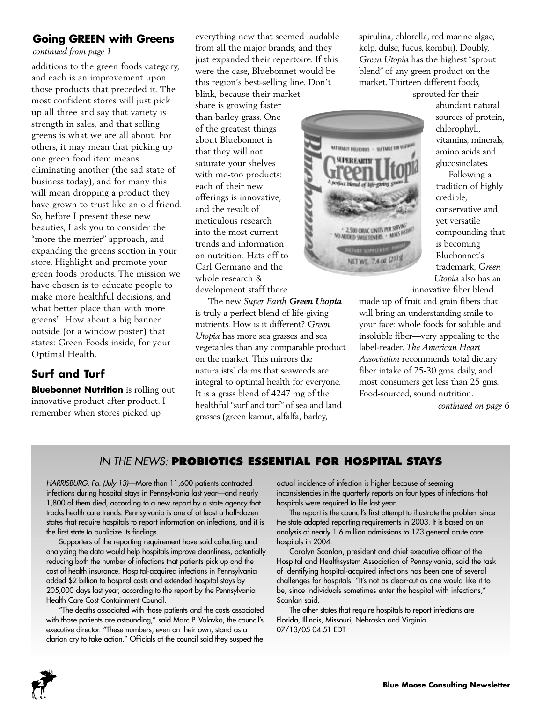# **Going GREEN with Greens**

*continued from page 1*

additions to the green foods category, and each is an improvement upon those products that preceded it. The most confident stores will just pick up all three and say that variety is strength in sales, and that selling greens is what we are all about. For others, it may mean that picking up one green food item means eliminating another (the sad state of business today), and for many this will mean dropping a product they have grown to trust like an old friend. So, before I present these new beauties, I ask you to consider the "more the merrier" approach, and expanding the greens section in your store. Highlight and promote your green foods products. The mission we have chosen is to educate people to make more healthful decisions, and what better place than with more greens! How about a big banner outside (or a window poster) that states: Green Foods inside, for your Optimal Health.

# **Surf and Turf**

**Bluebonnet Nutrition** is rolling out innovative product after product. I remember when stores picked up

everything new that seemed laudable from all the major brands; and they just expanded their repertoire. If this were the case, Bluebonnet would be this region's best-selling line. Don't

blink, because their market share is growing faster than barley grass. One of the greatest things about Bluebonnet is that they will not saturate your shelves with me-too products: each of their new offerings is innovative, and the result of meticulous research into the most current trends and information on nutrition. Hats off to Carl Germano and the whole research & development staff there.

The new *Super Earth Green Utopia* is truly a perfect blend of life-giving nutrients. How is it different? *Green Utopia* has more sea grasses and sea vegetables than any comparable product on the market. This mirrors the naturalists' claims that seaweeds are integral to optimal health for everyone. It is a grass blend of 4247 mg of the healthful "surf and turf" of sea and land grasses (green kamut, alfalfa, barley,

spirulina, chlorella, red marine algae, kelp, dulse, fucus, kombu). Doubly, *Green Utopia* has the highest "sprout blend" of any green product on the market. Thirteen different foods, sprouted for their



abundant natural sources of protein, chlorophyll, vitamins, minerals, amino acids and glucosinolates.

Following a tradition of highly credible, conservative and yet versatile compounding that is becoming Bluebonnet's trademark, *Green Utopia* also has an

innovative fiber blend made up of fruit and grain fibers that will bring an understanding smile to your face: whole foods for soluble and insoluble fiber—very appealing to the label-reader. *The American Heart Association* recommends total dietary fiber intake of 25-30 gms. daily, and most consumers get less than 25 gms. Food-sourced, sound nutrition.

*continued on page 6*

## *IN THE NEWS:* **PROBIOTICS ESSENTIAL FOR HOSPITAL STAYS**

*HARRISBURG, Pa. (July 13)*—More than 11,600 patients contracted infections during hospital stays in Pennsylvania last year—and nearly 1,800 of them died, according to a new report by a state agency that tracks health care trends. Pennsylvania is one of at least a half-dozen states that require hospitals to report information on infections, and it is the first state to publicize its findings.

Supporters of the reporting requirement have said collecting and analyzing the data would help hospitals improve cleanliness, potentially reducing both the number of infections that patients pick up and the cost of health insurance. Hospital-acquired infections in Pennsylvania added \$2 billion to hospital costs and extended hospital stays by 205,000 days last year, according to the report by the Pennsylvania Health Care Cost Containment Council.

"The deaths associated with those patients and the costs associated with those patients are astounding," said Marc P. Volavka, the council's executive director. "These numbers, even on their own, stand as a clarion cry to take action." Officials at the council said they suspect the

actual incidence of infection is higher because of seeming inconsistencies in the quarterly reports on four types of infections that hospitals were required to file last year.

The report is the council's first attempt to illustrate the problem since the state adopted reporting requirements in 2003. It is based on an analysis of nearly 1.6 million admissions to 173 general acute care hospitals in 2004.

Carolyn Scanlan, president and chief executive officer of the Hospital and Healthsystem Association of Pennsylvania, said the task of identifying hospital-acquired infections has been one of several challenges for hospitals. "It's not as clear-cut as one would like it to be, since individuals sometimes enter the hospital with infections," Scanlan said.

The other states that require hospitals to report infections are Florida, Illinois, Missouri, Nebraska and Virginia. 07/13/05 04:51 EDT

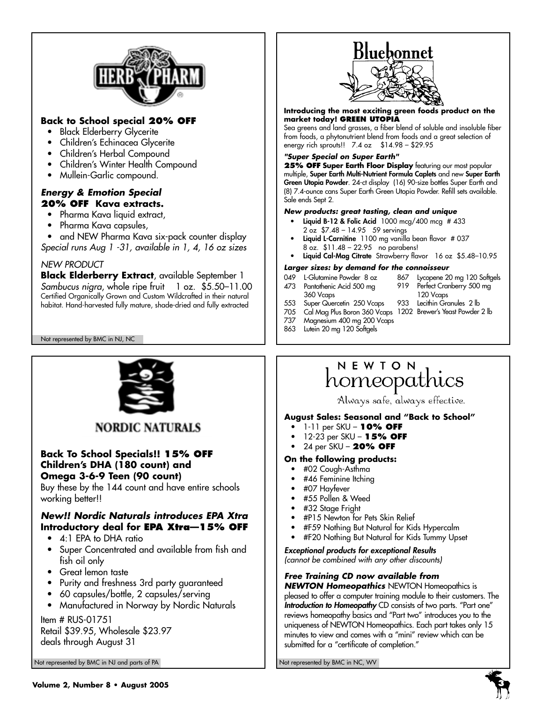

# **Back to School special 20% OFF**

- Black Elderberry Glycerite
- Children's Echinacea Glycerite
- Children's Herbal Compound
- Children's Winter Health Compound
- Mullein-Garlic compound.

#### *Energy & Emotion Special* **20% OFF Kava extracts.**

- Pharma Kava liquid extract,
- Pharma Kava capsules,
- and NEW Pharma Kava six-pack counter display
- *Special runs Aug 1 -31, available in 1, 4, 16 oz sizes*

#### *NEW PRODUCT*

**Black Elderberry Extract**, available September 1 *Sambucus nigra*, whole ripe fruit 1 oz. \$5.50–11.00 Certified Organically Grown and Custom Wildcrafted in their natural habitat. Hand-harvested fully mature, shade-dried and fully extracted

Not represented by BMC in NJ, NC



# **NORDIC NATURALS**

#### **Back To School Specials!! 15% OFF Children's DHA (180 count) and Omega 3-6-9 Teen (90 count)**

Buy these by the 144 count and have entire schools working better!!

## *New!! Nordic Naturals introduces EPA Xtra* **Introductory deal for EPA Xtra—15% OFF**

- 4:1 EPA to DHA ratio
- Super Concentrated and available from fish and fish oil only
- Great lemon taste
- Purity and freshness 3rd party guaranteed
- 60 capsules/bottle, 2 capsules/serving
- Manufactured in Norway by Nordic Naturals

#### Item # RUS-01751

Retail \$39.95, Wholesale \$23.97 deals through August 31

Not represented by BMC in NJ and parts of PA Not represented by BMC in NC, WV



#### **Introducing the most exciting green foods product on the market today! GREEN UTOPIA**

Sea greens and land grasses, a fiber blend of soluble and insoluble fiber from foods, a phytonutrient blend from foods and a great selection of energy rich sprouts!! 7.4 oz \$14.98 – \$29.95

#### *"Super Special on Super Earth"*

**25% OFF Super Earth Floor Display** featuring our most popular multiple, **Super Earth Multi-Nutrient Formula Caplets** and new **Super Earth Green Utopia Powder**. 24-ct display (16) 90-size bottles Super Earth and (8) 7.4-ounce cans Super Earth Green Utopia Powder. Refill sets available. Sale ends Sept 2.

#### *New products: great tasting, clean and unique*

- **Liquid B-12 & Folic Acid** 1000 mcg/400 mcg # 433 2 oz \$7.48 – 14.95 59 servings
- **Liquid L-Carnitine** 1100 mg vanilla bean flavor # 037 8 oz. \$11.48 – 22.95 no parabens!
- **Liquid Cal-Mag Citrate** Strawberry flavor 16 oz \$5.48–10.95

#### *Larger sizes: by demand for the connoisseur*

- 049 L-Glutamine Powder 8 oz
- 473 Pantothenic Acid 500 mg
- 867 Lycopene 20 mg 120 Softgels 919 Perfect Cranberry 500 mg
- 360 Vcaps
	- 120 Vcaps 933 Lecithin Granules 2 lb
- 553 Super Quercetin 250 Vcaps 705 Cal Mag Plus Boron 360 Vcaps 1202 Brewer's Yeast Powder 2 lb
- 737 Magnesium 400 mg 200 Vcaps
- 863 Lutein 20 mg 120 Softgels

# NEWTON homeopathics

Always safe, always effective.

#### **August Sales: Seasonal and "Back to School"**

- 1-11 per SKU **10% OFF**
- 12-23 per SKU **15% OFF**
- 24 per SKU **20% OFF**

#### **On the following products:**

- #02 Cough-Asthma
- #46 Feminine Itching
- #07 Hayfever
- #55 Pollen & Weed
- #32 Stage Fright
- #P15 Newton for Pets Skin Relief
- #F59 Nothing But Natural for Kids Hypercalm
- #F20 Nothing But Natural for Kids Tummy Upset

*Exceptional products for exceptional Results (cannot be combined with any other discounts)*

#### *Free Training CD now available from*

*NEWTON Homeopathics* NEWTON Homeopathics is pleased to offer a computer training module to their customers. The *Introduction to Homeopathy* CD consists of two parts. "Part one" reviews homeopathy basics and "Part two" introduces you to the uniqueness of NEWTON Homeopathics. Each part takes only 15 minutes to view and comes with a "mini" review which can be submitted for a "certificate of completion."

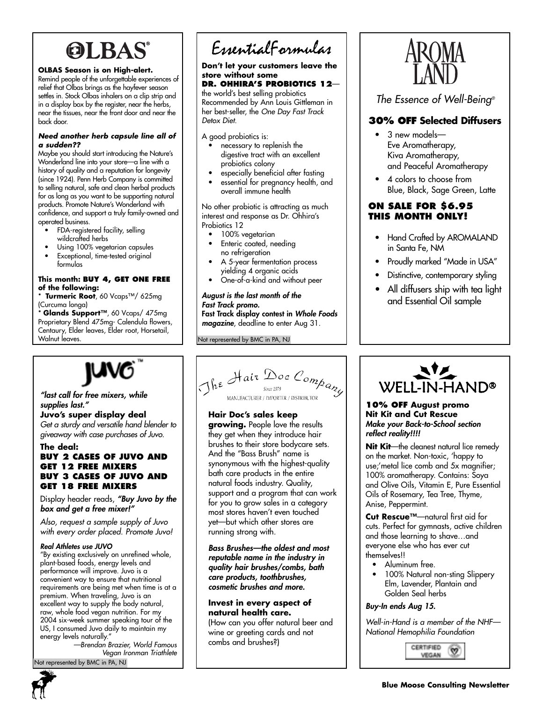# **OLBAS®**

#### **OLBAS Season is on High-alert.**

Remind people of the unforgettable experiences of relief that Olbas brings as the hayfever season settles in. Stock Olbas inhalers on a clip strip and in a display box by the register, near the herbs, near the tissues, near the front door and near the back door.

#### *Need another herb capsule line all of a sudden??*

Maybe you should start introducing the Nature's Wonderland line into your store—a line with a history of quality and a reputation for longevity (since 1924). Penn Herb Company is committed to selling natural, safe and clean herbal products for as long as you want to be supporting natural products. Promote Nature's Wonderland with confidence, and support a truly family-owned and operated business.

- FDA-registered facility, selling
- wildcrafted herbs
- Using 100% vegetarian capsules
- Exceptional, time-tested original formulas

#### **This month: BUY 4, GET ONE FREE of the following:**

Turmeric Root, 60 Vcaps™/ 625mg (Curcuma longa)

\* **Glands Support™**, 60 Vcaps/ 475mg Proprietary Blend 475mg- Calendula flowers, Centaury, Elder leaves, Elder root, Horsetail, Walnut leaves.

#### *"last call for free mixers, while supplies last."*

**Juvo's super display deal**  *Get a sturdy and versatile hand blender to giveaway with case purchases of Juvo.* 

#### **The deal:**

#### **BUY 2 CASES OF JUVO AND GET 12 FREE MIXERS BUY 3 CASES OF JUVO AND GET 18 FREE MIXERS**

Display header reads, *"Buy Juvo by the box and get a free mixer!"*

*Also, request a sample supply of Juvo with every order placed. Promote Juvo!*

#### *Real Athletes use JUVO*

"By existing exclusively on unrefined whole, plant-based foods, energy levels and performance will improve. Juvo is a convenient way to ensure that nutritional requirements are being met when time is at a premium. When traveling, Juvo is an excellent way to supply the body natural, raw, whole food vegan nutrition. For my 2004 six-week summer speaking tour of the US, I consumed Juvo daily to maintain my energy levels naturally."

*—Brendan Brazier, World Famous Vegan Ironman Triathlete* ot represented by BMC in PA, NJ

# EssentialFormulas

#### **Don't let your customers leave the store without some**

# **DR. OHHIRA'S PROBIOTICS 12**—

the world's best selling probiotics Recommended by Ann Louis Gittleman in her best-seller, the *One Day Fast Track Detox Diet.*

A good probiotics is:

- necessary to replenish the digestive tract with an excellent probiotics colony
- especially beneficial after fasting
- essential for pregnancy health, and overall immune health

No other probiotic is attracting as much interest and response as Dr. Ohhira's Probiotics 12

- 100% vegetarian
- Enteric coated, needing no refrigeration
- A 5-year fermentation process yielding 4 organic acids
- One-of-a-kind and without peer

*August is the last month of the Fast Track promo.*  **Fast Track display contest in** *Whole Foods magazine*, deadline to enter Aug 31.

Not represented by BMC in PA, NJ



*The Essence of Well-Being®*

# **30% OFF Selected Diffusers**

- 3 new models— Eve Aromatherapy, Kiva Aromatherapy, and Peaceful Aromatherapy
- 4 colors to choose from Blue, Black, Sage Green, Latte

#### **ON SALE FOR \$6.95 THIS MONTH ONLY!**

- Hand Crafted by AROMALAND in Santa Fe, NM
- Proudly marked "Made in USA"
- Distinctive, contemporary styling
- All diffusers ship with tea light and Essential Oil sample



## **Hair Doc's sales keep**

**growing.** People love the results they get when they introduce hair brushes to their store bodycare sets. And the "Bass Brush" name is synonymous with the highest-quality bath care products in the entire natural foods industry. Quality, support and a program that can work for you to grow sales in a category most stores haven't even touched yet—but which other stores are running strong with.

*Bass Brushes—the oldest and most reputable name in the industry in quality hair brushes/combs, bath care products, toothbrushes, cosmetic brushes and more.*

#### **Invest in every aspect of natural health care.**

(How can you offer natural beer and wine or greeting cards and not combs and brushes?)



#### **10% OFF August promo Nit Kit and Cut Rescue** *Make your Back-to-School section reflect reality!!!!*

**Nit Kit**—the cleanest natural lice remedy on the market. Non-toxic, 'happy to use;'metal lice comb and 5x magnifier; 100% aromatherapy. Contains: Soya and Olive Oils, Vitamin E, Pure Essential Oils of Rosemary, Tea Tree, Thyme, Anise, Peppermint.

**Cut Rescue™**—natural first aid for cuts. Perfect for gymnasts, active children and those learning to shave…and everyone else who has ever cut themselves!!

- Aluminum free.
- 100% Natural non-sting Slippery Elm, Lavender, Plantain and Golden Seal herbs

#### *Buy-In ends Aug 15.*

*Well-in-Hand is a member of the NHF— National Hemophilia Foundation*

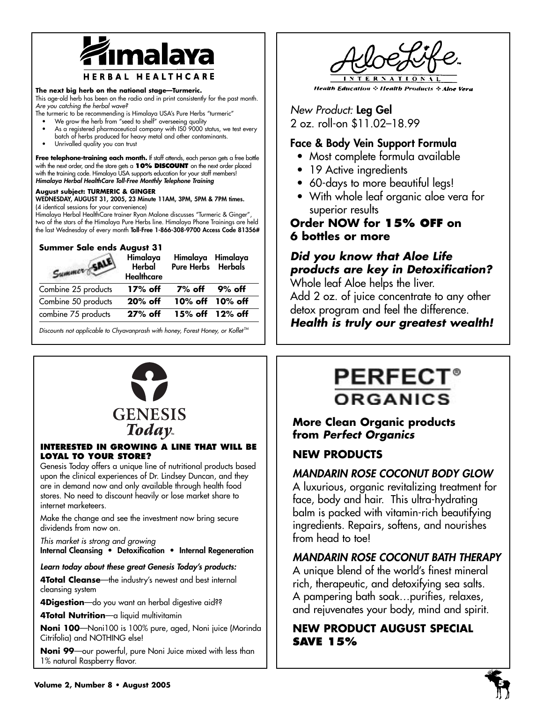

#### **The next big herb on the national stage—Turmeric.**

This age-old herb has been on the radio and in print consistently for the past month. *Are you catching the herbal wave?* 

- The turmeric to be recommending is Himalaya USA's Pure Herbs "turmeric"
	- We grow the herb from "seed to shelf" overseeing quality As a registered pharmaceutical company with ISO 9000 status, we test every
	- batch of herbs produced for heavy metal and other contaminants.
	- Unrivalled quality you can trust

Free telephone-training each month. If staff attends, each person gets a free bottle with the next order, and the store gets a **10% DISCOUNT** on the next order placed with the training code. Himalaya USA supports education for your staff members! *Himalaya Herbal HealthCare Toll-Free Monthly Telephone Training*

#### **August subject: TURMERIC & GINGER**

**WEDNESDAY, AUGUST 31, 2005, 23 Minute 11AM, 3PM, 5PM & 7PM times.**  (4 identical sessions for your convenience)

Himalaya Herbal HealthCare trainer Ryan Malone discusses "Turmeric & Ginger", two of the stars of the Himalaya Pure Herbs line. Himalaya Phone Trainings are held the last Wednesday of every month **Toll-Free 1-866-308-9700 Access Code 81356#**

#### **Summer Sale ends August 31**

| Summer St           | Himalaya<br>Herbal<br><b>Healthcare</b> | Himalaya Himalaya<br>Pure Herbs Herbals |  |
|---------------------|-----------------------------------------|-----------------------------------------|--|
| Combine 25 products | 17% off                                 | $7\%$ off 9% off                        |  |
| Combine 50 products | $20\%$ off                              | 10% off 10% off                         |  |
| combine 75 products | $27%$ off                               | $15\%$ off $12\%$ off                   |  |

Discounts not applicable to Chyavanprash with honey, Forest Honey, or Koflet<sup>™</sup>



#### **INTERESTED IN GROWING A LINE THAT WILL BE LOYAL TO YOUR STORE?**

Genesis Today offers a unique line of nutritional products based upon the clinical experiences of Dr. Lindsey Duncan, and they are in demand now and only available through health food stores. No need to discount heavily or lose market share to internet marketeers.

Make the change and see the investment now bring secure dividends from now on.

*This market is strong and growing*

**Internal Cleansing • Detoxification • Internal Regeneration**

*Learn today about these great Genesis Today's products:*

**4Total Cleanse**—the industry's newest and best internal cleansing system

**4Digestion**—do you want an herbal digestive aid??

**4Total Nutrition**—a liquid multivitamin

**Noni 100**—Noni100 is 100% pure, aged, Noni juice (Morinda Citrifolia) and NOTHING else!

**Noni 99**—our powerful, pure Noni Juice mixed with less than 1% natural Raspberry flavor.



**Health Education : Health Products : Aloe Vera** 

*New Product:* **Leg Gel**  2 oz. roll-on \$11.02–18.99

# **Face & Body Vein Support Formula**

- Most complete formula available
- 19 Active ingredients
- 60-days to more beautiful legs!
- With whole leaf organic aloe vera for superior results

# **Order NOW for 15% OFF on 6 bottles or more**

# *Did you know that Aloe Life products are key in Detoxification?*

Whole leaf Aloe helps the liver.

Add 2 oz. of juice concentrate to any other detox program and feel the difference.

*Health is truly our greatest wealth!*

# **PERFEC ORGANICS**

# **More Clean Organic products from** *Perfect Organics*

# **NEW PRODUCTS**

# *MANDARIN ROSE COCONUT BODY GLOW*

A luxurious, organic revitalizing treatment for face, body and hair. This ultra-hydrating balm is packed with vitamin-rich beautifying ingredients. Repairs, softens, and nourishes from head to toe!

# *MANDARIN ROSE COCONUT BATH THERAPY*

A unique blend of the world's finest mineral rich, therapeutic, and detoxifying sea salts. A pampering bath soak…purifies, relaxes, and rejuvenates your body, mind and spirit.

# **NEW PRODUCT AUGUST SPECIAL SAVE 15%**



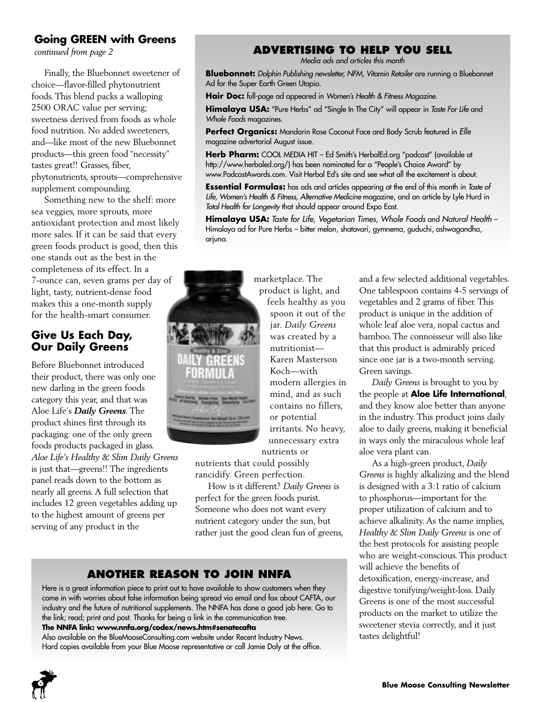# **Going GREEN with Greens**

*continued from page 2*

Finally, the Bluebonnet sweetener of choice—flavor-filled phytonutrient foods. This blend packs a walloping 2500 ORAC value per serving; sweetness derived from foods as whole food nutrition. No added sweeteners, and—like most of the new Bluebonnet products—this green food "necessity" tastes great!! Grasses, fiber, phytonutrients, sprouts—comprehensive supplement compounding.

Something new to the shelf: more sea veggies, more sprouts, more antioxidant protection and most likely more sales. If it can be said that every green foods product is good, then this one stands out as the best in the completeness of its effect. In a 7-ounce can, seven grams per day of light, tasty, nutrient-dense food makes this a one-month supply for the health-smart consumer.

# **Give Us Each Day, Our Daily Greens**

Before Bluebonnet introduced their product, there was only one new darling in the green foods category this year, and that was Aloe Life's *Daily Greens*. The product shines first through its packaging: one of the only green foods products packaged in glass. *Aloe Life's Healthy & Slim Daily Greens* is just that—greens!! The ingredients panel reads down to the bottom as nearly all greens. A full selection that includes 12 green vegetables adding up to the highest amount of greens per serving of any product in the

# marketplace. The

product is light, and feels healthy as you spoon it out of the jar. *Daily Greens* was created by a nutritionist— Karen Masterson Koch—with modern allergies in mind, and as such contains no fillers, or potential irritants. No heavy, unnecessary extra

nutrients or nutrients that could possibly

rancidify. Green perfection. How is it different? *Daily Greens* is perfect for the green foods purist. Someone who does not want every

nutrient category under the sun, but rather just the good clean fun of greens,

# **ANOTHER REASON TO JOIN NNFA**

Here is a great information piece to print out to have available to show customers when they come in with worries about false information being spread via email and fax about CAFTA, our industry and the future of nutritional supplements. The NNFA has done a good job here. Go to the link; read; print and post. Thanks for being a link in the communication tree.

**The NNFA link: www.nnfa.org/codex/news.htm#senatecafta**

Also available on the BlueMooseConsulting.com website under Recent Industry News. Hard copies available from your Blue Moose representative or call Jamie Daly at the office.

# **ADVERTISING TO HELP YOU SELL**

*Media ads and articles this month* 

**Bluebonnet:** *Dolphin Publishing newsletter, NFM, Vitamin Retailer* are running a Bluebonnet Ad for the Super Earth Green Utopia.

**Hair Doc:** full-page ad appeared in *Women's Health & Fitness Magazine*.

**Himalaya USA:** "Pure Herbs" ad "Single In The City" will appear in *Taste For Life* and *Whole Foods* magazines.

**Perfect Organics:** Mandarin Rose Coconut Face and Body Scrub featured in *Elle* magazine advertorial August issue.

**Herb Pharm:** COOL MEDIA HIT – Ed Smith's HerbalEd.org "podcast" (available at http://www.herbaled.org/) has been nominated for a "People's Choice Award" by www.PodcastAwards.com. Visit Herbal Ed's site and see what all the excitement is about.

**Essential Formulas:** has ads and articles appearing at the end of this month in *Taste of Life, Women's Health & Fitness, Alternative Medicine* magazine, and an article by Lyle Hurd in *Total Health for Longevity* that should appear around Expo East.

**Himalaya USA:** *Taste for Life, Vegetarian Times, Whole Foods* and *Natural Health* – Himalaya ad for Pure Herbs – bitter melon, shatavari, gymnema, guduchi, ashwagandha, arjuna.

Green savings.

aloe vera plant can.



As a high-green product, *Daily Greens* is highly alkalizing and the blend is designed with a 3:1 ratio of calcium to phosphorus—important for the proper utilization of calcium and to achieve alkalinity. As the name implies, *Healthy & Slim Daily Greens* is one of the best protocols for assisting people who are weight-conscious. This product will achieve the benefits of detoxification, energy-increase, and digestive tonifying/weight-loss. Daily Greens is one of the most successful products on the market to utilize the sweetener stevia correctly, and it just tastes delightful!

and a few selected additional vegetables. One tablespoon contains 4-5 servings of vegetables and 2 grams of fiber. This product is unique in the addition of whole leaf aloe vera, nopal cactus and bamboo. The connoisseur will also like that this product is admirably priced since one jar is a two-month serving.

*Daily Greens* is brought to you by the people at **Aloe Life International**, and they know aloe better than anyone in the industry. This product joins daily aloe to daily greens, making it beneficial in ways only the miraculous whole leaf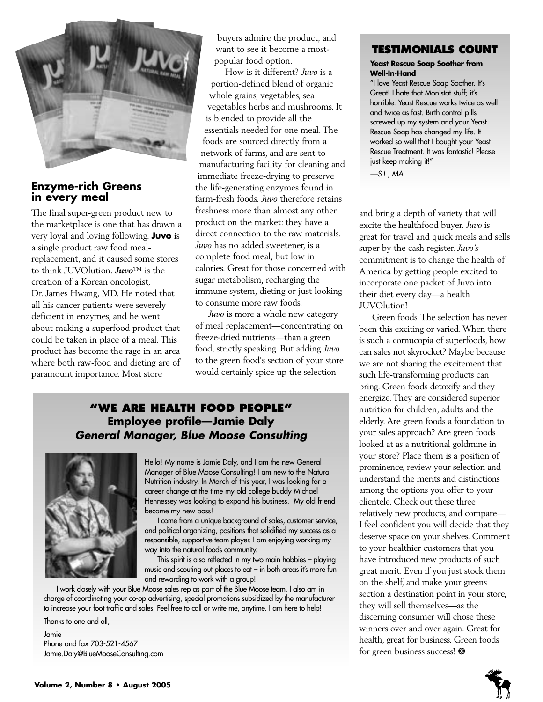

## **Enzyme-rich Greens in every meal**

The final super-green product new to the marketplace is one that has drawn a very loyal and loving following. **Juvo** is a single product raw food mealreplacement, and it caused some stores to think JUVOlution. *Juvo*™ is the creation of a Korean oncologist, Dr. James Hwang, MD. He noted that all his cancer patients were severely deficient in enzymes, and he went about making a superfood product that could be taken in place of a meal. This product has become the rage in an area where both raw-food and dieting are of paramount importance. Most store

buyers admire the product, and want to see it become a mostpopular food option.

How is it different? *Juvo* is a portion-defined blend of organic whole grains, vegetables, sea vegetables herbs and mushrooms. It is blended to provide all the essentials needed for one meal. The foods are sourced directly from a network of farms, and are sent to manufacturing facility for cleaning and immediate freeze-drying to preserve the life-generating enzymes found in farm-fresh foods. *Juvo* therefore retains freshness more than almost any other product on the market: they have a direct connection to the raw materials. *Juvo* has no added sweetener, is a complete food meal, but low in calories. Great for those concerned with sugar metabolism, recharging the immune system, dieting or just looking to consume more raw foods.

*Juvo* is more a whole new category of meal replacement—concentrating on freeze-dried nutrients—than a green food, strictly speaking. But adding *Juvo* to the green food's section of your store would certainly spice up the selection

# **"WE ARE HEALTH FOOD PEOPLE" Employee profile—Jamie Daly** *General Manager, Blue Moose Consulting*



Hello! My name is Jamie Daly, and I am the new General Manager of Blue Moose Consulting! I am new to the Natural Nutrition industry. In March of this year, I was looking for a career change at the time my old college buddy Michael Hennessey was looking to expand his business. My old friend became my new boss!

I come from a unique background of sales, customer service, and political organizing, positions that solidified my success as a responsible, supportive team player. I am enjoying working my way into the natural foods community.

This spirit is also reflected in my two main hobbies – playing music and scouting out places to eat – in both areas it's more fun and rewarding to work with a group!

I work closely with your Blue Moose sales rep as part of the Blue Moose team. I also am in charge of coordinating your co-op advertising, special promotions subsidized by the manufacturer to increase your foot traffic and sales. Feel free to call or write me, anytime. I am here to help!

Thanks to one and all, Jamie Phone and fax 703-521-4567 Jamie.Daly@BlueMooseConsulting.com

# **TESTIMONIALS COUNT**

#### **Yeast Rescue Soap Soother from Well-In-Hand**

"I love Yeast Rescue Soap Soother. It's Great! I hate that Monistat stuff; it's horrible. Yeast Rescue works twice as well and twice as fast. Birth control pills screwed up my system and your Yeast Rescue Soap has changed my life. It worked so well that I bought your Yeast Rescue Treatment. It was fantastic! Please just keep making it!"

*—S.L., MA*

and bring a depth of variety that will excite the healthfood buyer. *Juvo* is great for travel and quick meals and sells super by the cash register. *Juvo's* commitment is to change the health of America by getting people excited to incorporate one packet of Juvo into their diet every day—a health JUVOlution!

Green foods. The selection has never been this exciting or varied. When there is such a cornucopia of superfoods, how can sales not skyrocket? Maybe because we are not sharing the excitement that such life-transforming products can bring. Green foods detoxify and they energize. They are considered superior nutrition for children, adults and the elderly. Are green foods a foundation to your sales approach? Are green foods looked at as a nutritional goldmine in your store? Place them is a position of prominence, review your selection and understand the merits and distinctions among the options you offer to your clientele. Check out these three relatively new products, and compare— I feel confident you will decide that they deserve space on your shelves. Comment to your healthier customers that you have introduced new products of such great merit. Even if you just stock them on the shelf, and make your greens section a destination point in your store, they will sell themselves—as the discerning consumer will chose these winners over and over again. Great for health, great for business. Green foods for green business success! \*